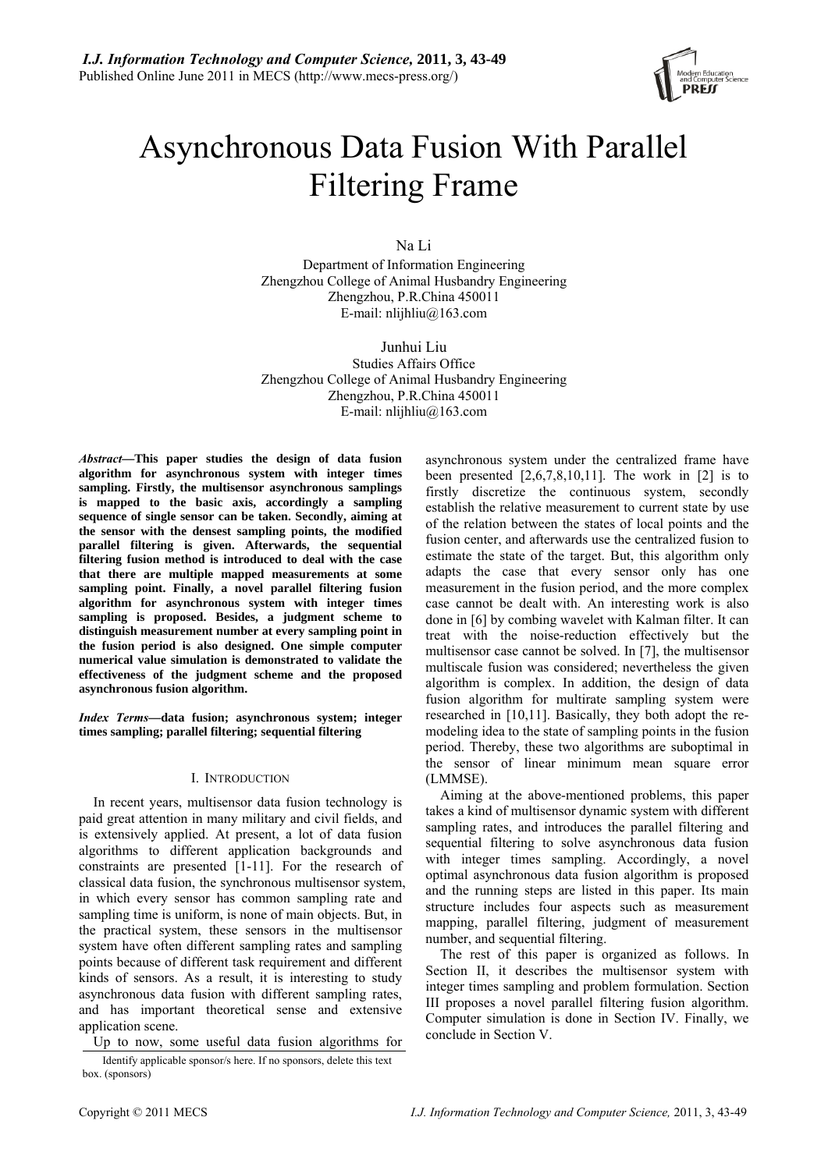

# Asynchronous Data Fusion With Parallel Filtering Frame

Na Li

Department of Information Engineering Zhengzhou College of Animal Husbandry Engineering Zhengzhou, P.R.China 450011 E-mail: nlijhliu@163.com

Junhui Liu Studies Affairs Office Zhengzhou College of Animal Husbandry Engineering Zhengzhou, P.R.China 450011 E-mail: nlijhliu $@163$ .com

*Abstract***—This paper studies the design of data fusion algorithm for asynchronous system with integer times sampling. Firstly, the multisensor asynchronous samplings is mapped to the basic axis, accordingly a sampling sequence of single sensor can be taken. Secondly, aiming at the sensor with the densest sampling points, the modified parallel filtering is given. Afterwards, the sequential filtering fusion method is introduced to deal with the case that there are multiple mapped measurements at some sampling point. Finally, a novel parallel filtering fusion algorithm for asynchronous system with integer times sampling is proposed. Besides, a judgment scheme to distinguish measurement number at every sampling point in the fusion period is also designed. One simple computer numerical value simulation is demonstrated to validate the effectiveness of the judgment scheme and the proposed asynchronous fusion algorithm.** 

*Index Terms***—data fusion; asynchronous system; integer times sampling; parallel filtering; sequential filtering** 

## I. INTRODUCTION

In recent years, multisensor data fusion technology is paid great attention in many military and civil fields, and is extensively applied. At present, a lot of data fusion algorithms to different application backgrounds and constraints are presented [1-11]. For the research of classical data fusion, the synchronous multisensor system, in which every sensor has common sampling rate and sampling time is uniform, is none of main objects. But, in the practical system, these sensors in the multisensor system have often different sampling rates and sampling points because of different task requirement and different kinds of sensors. As a result, it is interesting to study asynchronous data fusion with different sampling rates, and has important theoretical sense and extensive application scene.

Up to now, some useful data fusion algorithms for

Identify applicable sponsor/s here. If no sponsors, delete this text box. (sponsors)

asynchronous system under the centralized frame have been presented  $[2,6,7,8,10,11]$ . The work in  $[2]$  is to firstly discretize the continuous system, secondly establish the relative measurement to current state by use of the relation between the states of local points and the fusion center, and afterwards use the centralized fusion to estimate the state of the target. But, this algorithm only adapts the case that every sensor only has one measurement in the fusion period, and the more complex case cannot be dealt with. An interesting work is also done in [6] by combing wavelet with Kalman filter. It can treat with the noise-reduction effectively but the multisensor case cannot be solved. In [7], the multisensor multiscale fusion was considered; nevertheless the given algorithm is complex. In addition, the design of data fusion algorithm for multirate sampling system were researched in [10,11]. Basically, they both adopt the remodeling idea to the state of sampling points in the fusion period. Thereby, these two algorithms are suboptimal in the sensor of linear minimum mean square error (LMMSE).

Aiming at the above-mentioned problems, this paper takes a kind of multisensor dynamic system with different sampling rates, and introduces the parallel filtering and sequential filtering to solve asynchronous data fusion with integer times sampling. Accordingly, a novel optimal asynchronous data fusion algorithm is proposed and the running steps are listed in this paper. Its main structure includes four aspects such as measurement mapping, parallel filtering, judgment of measurement number, and sequential filtering.

The rest of this paper is organized as follows. In Section II, it describes the multisensor system with integer times sampling and problem formulation. Section III proposes a novel parallel filtering fusion algorithm. Computer simulation is done in Section IV. Finally, we conclude in Section V.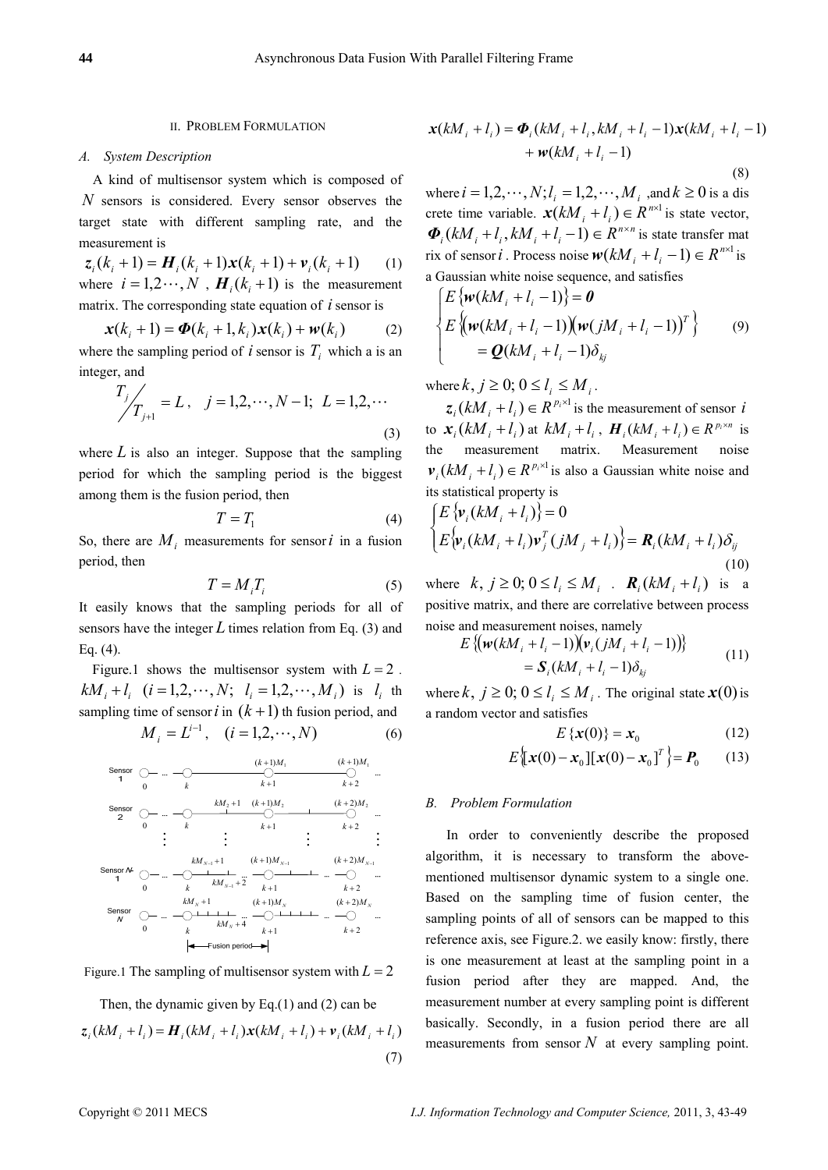## II. PROBLEM FORMULATION

### *A. System Description*

A kind of multisensor system which is composed of *N* sensors is considered. Every sensor observes the target state with different sampling rate, and the measurement is

 $z_i$   $(k_i + 1) = H_i$   $(k_i + 1)x(k_i + 1) + v_i(k_i + 1)$  (1) where  $i = 1, 2, \dots, N$ ,  $H_i(k + 1)$  is the measurement matrix. The corresponding state equation of *i* sensor is

$$
\mathbf{x}(k_i + 1) = \mathbf{\Phi}(k_i + 1, k_i)\mathbf{x}(k_i) + \mathbf{w}(k_i)
$$
 (2)  
where the sampling period of *i* sensor is  $T_i$  which a is an integer, and

$$
T_j / T_{j+1} = L
$$
,  $j = 1, 2, \dots, N-1$ ;  $L = 1, 2, \dots$  (3)

where  $L$  is also an integer. Suppose that the sampling period for which the sampling period is the biggest among them is the fusion period, then

$$
T = T_1 \tag{4}
$$

So, there are  $M_i$  measurements for sensor *i* in a fusion period, then

$$
T = M_i T_i \tag{5}
$$

It easily knows that the sampling periods for all of sensors have the integer  $L$  times relation from Eq. (3) and Eq. (4).

Figure.1 shows the multisensor system with  $L = 2$ .  $kM_i + l_i$   $(i = 1, 2, \dots, N; l_i = 1, 2, \dots, M_i)$  is  $l_i$  th sampling time of sensor *i* in  $(k+1)$  th fusion period, and

$$
M_i = L^{i-1}, \quad (i = 1, 2, \cdots, N)
$$
 (6)

| Sensor | $\bigcirc$ | $\dots$    | $\bigcirc$ | $(k+1)M_1$ | $(k+1)M_1$ |            |
|--------|------------|------------|------------|------------|------------|------------|
| 1      | 0          | k          | k+1        | k+2        |            |            |
| Sensor | $\bigcirc$ | $\dots$    | $\bigcirc$ | $\bigcirc$ | $\bigcirc$ | $\bigcirc$ |
| 2      | 0          | k          | k+1        | k+2        |            |            |
| 3      | 0          | k          | k+1        | k+2        |            |            |
| 4      | 0          | k          | k+1        | k+2        |            |            |
| 5      | 0          | k          | k+1        | k+2        |            |            |
| 6      | 0          | k          | kM_{N-1}+2 | k+1        | k+2        |            |
| 6      | 0          | kM_{N+1}+2 | k+1        | k+2        |            |            |
| 7      | 0          | kM_{N+1}+2 | k+1        | k+2        |            |            |
| 8      | 0          | kM_{N+1}+4 | k+1        | k+2        |            |            |
| 4      | 0          | kM_{N+1}+4 | k+1        | k+2        |            |            |
| 4      | 0          | 0          | k          | k+1        | k+2        |            |

Figure.1 The sampling of multisensor system with  $L = 2$ 

Then, the dynamic given by Eq.(1) and (2) can be  $z_i(kM_i + l_i) = H_i(kM_i + l_i)x(kM_i + l_i) + v_i(kM_i + l_i)$ (7)

$$
\mathbf{x}(kM_i + l_i) = \boldsymbol{\Phi}_i(kM_i + l_i, kM_i + l_i - 1)\mathbf{x}(kM_i + l_i - 1) + \mathbf{w}(kM_i + l_i - 1)
$$
\n
$$
(8)
$$

where  $i = 1, 2, \dots, N; l_i = 1, 2, \dots, M_i$ , and  $k \ge 0$  is a dis crete time variable.  $\mathbf{x}(kM_i + l_i) \in R^{n \times 1}$  is state vector,  $\Phi_i(kM_i + l_i, kM_i + l_i - 1) \in R^{n \times n}$  is state transfer mat rix of sensor *i*. Process noise  $w(kM_i + l_i - 1) \in R^{n \times 1}$  is a Gaussian white noise sequence, and satisfies

$$
\begin{cases}\nE\left\{\mathbf{w}(kM_i + l_i - 1)\right\} = \mathbf{0} \\
E\left\{\mathbf{w}(kM_i + l_i - 1)\right\}(\mathbf{w}(jM_i + l_i - 1))^T\right\} \\
= \mathbf{Q}(kM_i + l_i - 1)\delta_{kj}\n\end{cases}
$$
\n(9)

where  $k, j \geq 0$ ;  $0 \leq l_i \leq M_i$ .

 $\mathbf{z}_i (kM_i + l_i) \in R^{p_i \times 1}$  is the measurement of sensor *i* to  $\mathbf{x}_i (kM_i + l_i)$  at  $kM_i + l_i$ ,  $\mathbf{H}_i (kM_i + l_i) \in R^{p_i \times n}$  is the measurement matrix. Measurement noise  $v_i (kM_i + l_i) \in R^{p_i \times 1}$  is also a Gaussian white noise and its statistical property is

$$
\begin{cases}\nE\left\{\mathbf{v}_i(kM_i + l_i)\right\} = 0 \\
E\left\{\mathbf{v}_i(kM_i + l_i)\mathbf{v}_j^T(jM_j + l_i)\right\} = \mathbf{R}_i(kM_i + l_i)\delta_{ij} \\
(10)\n\end{cases}
$$

where  $k, j \geq 0$ ;  $0 \leq l_i \leq M_i$ .  $\mathbf{R}_i(kM_i + l_i)$  is a positive matrix, and there are correlative between process noise and measurement noises, namely

$$
E\left\{ (w(kM_{i} + l_{i} - 1)) (v_{i} (jM_{i} + l_{i} - 1)) \right\}
$$
  
=  $S_{i} (kM_{i} + l_{i} - 1) \delta_{kj}$  (11)

where  $k, j \geq 0$ ;  $0 \leq l_i \leq M_i$ . The original state  $\mathbf{x}(0)$  is a random vector and satisfies

$$
E\left\{\boldsymbol{x}(0)\right\} = \boldsymbol{x}_0 \tag{12}
$$

$$
E\left[\mathbf{x}(0) - \mathbf{x}_0\right]\left[\mathbf{x}(0) - \mathbf{x}_0\right]^T = \mathbf{P}_0 \quad (13)
$$

## *B. Problem Formulation*

In order to conveniently describe the proposed algorithm, it is necessary to transform the abovementioned multisensor dynamic system to a single one. Based on the sampling time of fusion center, the sampling points of all of sensors can be mapped to this reference axis, see Figure.2. we easily know: firstly, there is one measurement at least at the sampling point in a fusion period after they are mapped. And, the measurement number at every sampling point is different basically. Secondly, in a fusion period there are all measurements from sensor *N* at every sampling point.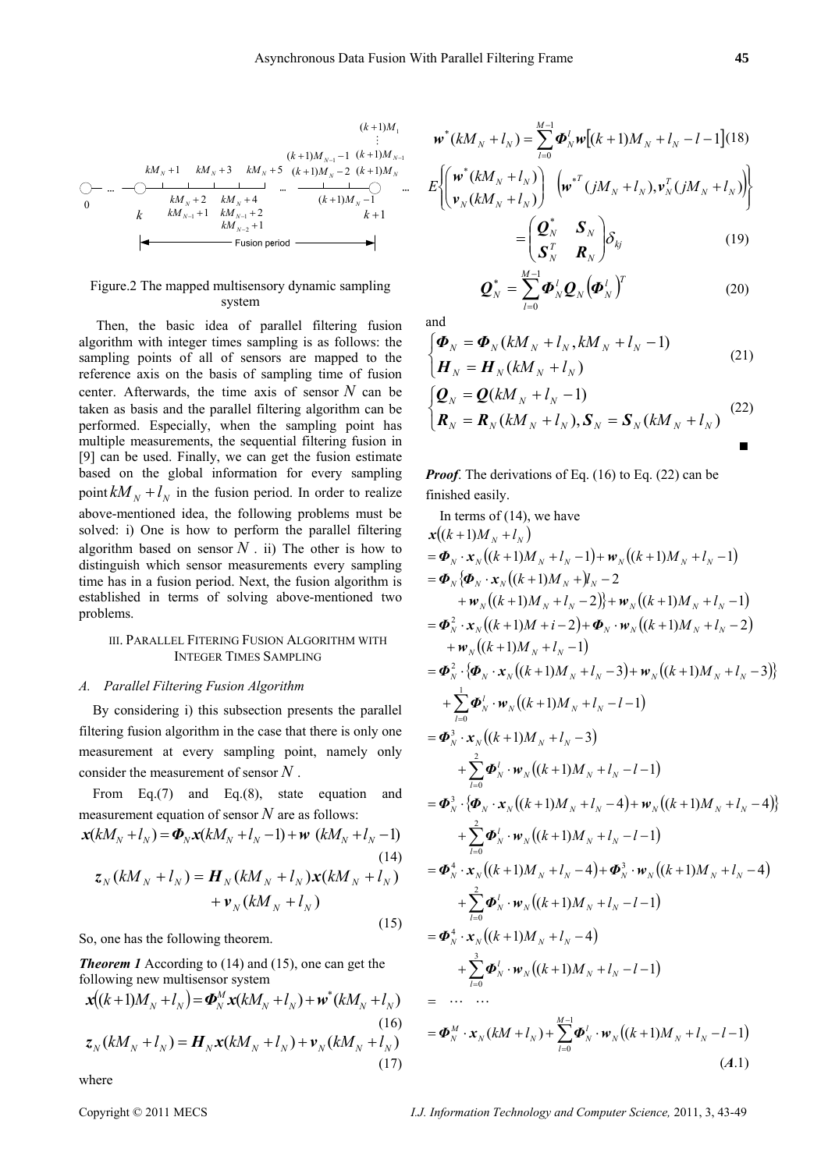$$
(k+1)M_{1}
$$
\n
$$
\vdots
$$
\n
$$
kM_{N}+1
$$
\n
$$
kM_{N}+3
$$
\n
$$
kM_{N}+5
$$
\n
$$
(k+1)M_{N-1}-1
$$
\n
$$
(k+1)M_{N-1}
$$
\n
$$
\vdots
$$
\n
$$
(k+1)M_{N-2}
$$
\n
$$
(k+1)M_{N}
$$
\n
$$
\vdots
$$
\n
$$
\vdots
$$
\n
$$
\vdots
$$
\n
$$
\vdots
$$
\n
$$
\vdots
$$
\n
$$
\vdots
$$
\n
$$
\vdots
$$
\n
$$
\vdots
$$
\n
$$
\vdots
$$
\n
$$
\vdots
$$
\n
$$
\vdots
$$
\n
$$
\vdots
$$
\n
$$
\vdots
$$
\n
$$
\vdots
$$
\n
$$
\vdots
$$
\n
$$
\vdots
$$
\n
$$
\vdots
$$
\n
$$
\vdots
$$
\n
$$
\vdots
$$
\n
$$
\vdots
$$
\n
$$
\vdots
$$
\n
$$
\vdots
$$
\n
$$
\vdots
$$
\n
$$
\vdots
$$
\n
$$
\vdots
$$
\n
$$
\vdots
$$
\n
$$
\vdots
$$
\n
$$
\vdots
$$
\n
$$
\vdots
$$
\n
$$
\vdots
$$
\n
$$
\vdots
$$
\n
$$
\vdots
$$
\n
$$
\vdots
$$
\n
$$
\vdots
$$
\n
$$
\vdots
$$
\n
$$
\vdots
$$
\n
$$
\vdots
$$
\n
$$
\vdots
$$
\n
$$
\vdots
$$
\n
$$
\vdots
$$
\n
$$
\vdots
$$
\n
$$
\vdots
$$
\n
$$
\vdots
$$
\n
$$
\vdots
$$
\n
$$
\vdots
$$
\n
$$
\vdots
$$
\n
$$
\vdots
$$
\n
$$
\vdots
$$
\n
$$
\vdots
$$
\n
$$
\vdots
$$

# Figure.2 The mapped multisensory dynamic sampling system

 Then, the basic idea of parallel filtering fusion algorithm with integer times sampling is as follows: the sampling points of all of sensors are mapped to the reference axis on the basis of sampling time of fusion center. Afterwards, the time axis of sensor  $N$  can be taken as basis and the parallel filtering algorithm can be performed. Especially, when the sampling point has multiple measurements, the sequential filtering fusion in [9] can be used. Finally, we can get the fusion estimate based on the global information for every sampling point  $kM_N + l_N$  in the fusion period. In order to realize above-mentioned idea, the following problems must be solved: i) One is how to perform the parallel filtering algorithm based on sensor  $N$ . ii) The other is how to distinguish which sensor measurements every sampling time has in a fusion period. Next, the fusion algorithm is established in terms of solving above-mentioned two problems.

## III. PARALLEL FITERING FUSION ALGORITHM WITH INTEGER TIMES SAMPLING

## *A. Parallel Filtering Fusion Algorithm*

By considering i) this subsection presents the parallel filtering fusion algorithm in the case that there is only one measurement at every sampling point, namely only consider the measurement of sensor *N* .

From Eq.(7) and Eq.(8), state equation and measurement equation of sensor *N* are as follows:

$$
\mathbf{x}(kM_N + l_N) = \mathbf{\Phi}_N \mathbf{x}(kM_N + l_N - 1) + \mathbf{w} \ (kM_N + l_N - 1)
$$
\n
$$
\mathbf{z}_N(kM_N + l_N) = \mathbf{H}_N(kM_N + l_N) \mathbf{x}(kM_N + l_N)
$$
\n
$$
+ \mathbf{v}_N(kM_N + l_N)
$$

(15)

So, one has the following theorem.

*Theorem 1* According to (14) and (15), one can get the following new multisensor system

$$
\mathbf{x}((k+1)M_{N} + l_{N}) = \mathbf{\Phi}_{N}^{M} \mathbf{x}(kM_{N} + l_{N}) + \mathbf{w}^{*}(kM_{N} + l_{N})
$$
\n(16)\n  
\n
$$
\mathbf{z}_{N}(kM_{N} + l_{N}) = \mathbf{H}_{N} \mathbf{x}(kM_{N} + l_{N}) + \mathbf{v}_{N}(kM_{N} + l_{N})
$$
\n(17)

where

$$
\boldsymbol{w}^*(kM_N + l_N) = \sum_{l=0}^{M-1} \boldsymbol{\Phi}_N^l \boldsymbol{w}[(k+1)M_N + l_N - l - 1](18)
$$
  

$$
E\left\{ \begin{pmatrix} \boldsymbol{w}^*(kM_N + l_N) \\ \boldsymbol{v}_N(kM_N + l_N) \end{pmatrix} \begin{pmatrix} \boldsymbol{w}^{*T} (jM_N + l_N), \boldsymbol{v}_N^T (jM_N + l_N) \end{pmatrix} \right\}
$$
  

$$
= \begin{pmatrix} \boldsymbol{Q}_N^* & \boldsymbol{S}_N \\ \boldsymbol{v}_N & \boldsymbol{S}_N \end{pmatrix} \delta_{ki}
$$
 (19)

 $\mathsf I$ 

⎝

$$
= \begin{pmatrix} \mathbf{Q}_N^* & \mathbf{S}_N \\ \mathbf{S}_N^T & \mathbf{R}_N \end{pmatrix} \delta_{kj} \tag{19}
$$

$$
\boldsymbol{Q}_{N}^{*} = \sum_{l=0}^{M-1} \boldsymbol{\Phi}_{N}^{l} \boldsymbol{Q}_{N} \left(\boldsymbol{\Phi}_{N}^{l}\right)^{T}
$$
 (20)

and

$$
\begin{cases} \boldsymbol{\Phi}_N = \boldsymbol{\Phi}_N (kM_N + l_N, kM_N + l_N - 1) \\ \boldsymbol{H}_N = \boldsymbol{H}_N (kM_N + l_N) \end{cases}
$$
\n(21)

$$
\begin{cases}\n\mathbf{Q}_N = \mathbf{Q}(kM_N + l_N - 1) \\
\mathbf{R}_N = \mathbf{R}_N(kM_N + l_N), \mathbf{S}_N = \mathbf{S}_N(kM_N + l_N)\n\end{cases}
$$
\n(22)

*Proof.* The derivations of Eq. (16) to Eq. (22) can be finished easily.

In terms of (14), we have  
\n
$$
x((k+1)M_N + l_N)
$$
\n
$$
= \Phi_N \cdot x_N((k+1)M_N + l_N - 1) + w_N((k+1)M_N + l_N - 1)
$$
\n
$$
= \Phi_N \{ \Phi_N \cdot x_N((k+1)M_N + l_N - 2) \} + w_N((k+1)M_N + l_N - 1)
$$
\n
$$
= \Phi_N^2 \cdot x_N((k+1)M + l_N - 2) + \Phi_N \cdot w_N((k+1)M_N + l_N - 2)
$$
\n
$$
+ w_N((k+1)M_N + l_N - 1)
$$
\n
$$
= \Phi_N^2 \cdot \{\Phi_N \cdot x_N((k+1)M_N + l_N - 3) + w_N((k+1)M_N + l_N - 3)\}
$$
\n
$$
+ \sum_{l=0}^{1} \Phi_N^l \cdot w_N((k+1)M_N + l_N - 3) + w_N((k+1)M_N + l_N - 3)
$$
\n
$$
+ \sum_{l=0}^{2} \Phi_N^l \cdot w_N((k+1)M_N + l_N - 1 - 1)
$$
\n
$$
= \Phi_N^3 \cdot x_N((k+1)M_N + l_N - 4) + w_N((k+1)M_N + l_N - 4)\}
$$
\n
$$
+ \sum_{l=0}^{2} \Phi_N^l \cdot w_N((k+1)M_N + l_N - 4) + w_N((k+1)M_N + l_N - 4)\}
$$
\n
$$
+ \sum_{l=0}^{2} \Phi_N^l \cdot w_N((k+1)M_N + l_N - 1 - 1)
$$
\n
$$
= \Phi_N^4 \cdot x_N((k+1)M_N + l_N - 4) + \Phi_N^3 \cdot w_N((k+1)M_N + l_N - 4)
$$
\n
$$
+ \sum_{l=0}^{2} \Phi_N^l \cdot w_N((k+1)M_N + l_N - 1 - 1)
$$
\n
$$
= \Phi_N^4 \cdot x_N((k+1)M_N + l_N - 4)
$$
\n
$$
+ \sum_{l=0}^{3} \Phi_N^l \cdot w_N((k+1)M_N + l_N - 1 - 1)
$$
\n
$$
= \Phi_N^M \cdot x_N(kM + l_N) + \sum_{l=0}^{M-1} \Phi_N^l \cdot w_N((k
$$

Copyright © 2011 MECS *I.J. Information Technology and Computer Science,* 2011, 3, 43-49

(*A*.1)

= 0 *l*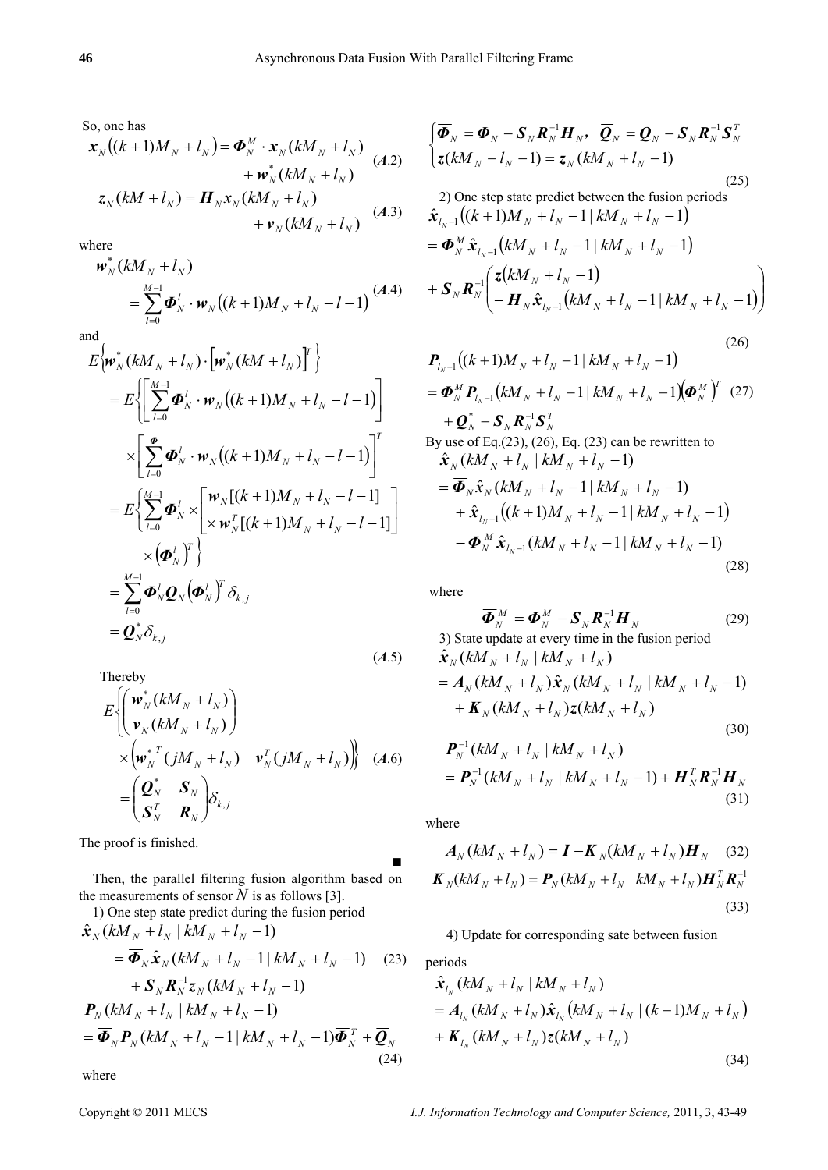So, one has

$$
\mathbf{x}_{N}((k+1)M_{N} + l_{N}) = \boldsymbol{\Phi}_{N}^{M} \cdot \mathbf{x}_{N}(kM_{N} + l_{N})
$$
\n
$$
+ \boldsymbol{w}_{N}^{*}(kM_{N} + l_{N})
$$
\n
$$
\mathbf{z}_{N}(kM + l_{N}) = \boldsymbol{H}_{N}\mathbf{x}_{N}(kM_{N} + l_{N})
$$
\n
$$
+ \boldsymbol{v}_{N}(kM_{N} + l_{N})
$$
\n
$$
(A.3)
$$

where

$$
\mathbf{w}_{N}^{*}(kM_{N} + l_{N})
$$
\n
$$
= \sum_{l=0}^{M-1} \boldsymbol{\Phi}_{N}^{l} \cdot \mathbf{w}_{N}((k+1)M_{N} + l_{N} - l - 1) \tag{A.4}
$$
\nand

$$
E\left\{\boldsymbol{w}_{N}^{*}(kM_{N}+l_{N})\cdot[\boldsymbol{w}_{N}^{*}(kM+l_{N})]^{T}\right\}
$$
\n
$$
=E\left\{\left[\sum_{l=0}^{M-1}\boldsymbol{\Phi}_{N}^{l}\cdot\boldsymbol{w}_{N}((k+1)M_{N}+l_{N}-l-1)\right]\right.\times\left[\sum_{l=0}^{\boldsymbol{\Phi}}\boldsymbol{\Phi}_{N}^{l}\cdot\boldsymbol{w}_{N}((k+1)M_{N}+l_{N}-l-1)\right]^{T}
$$
\n
$$
=E\left\{\sum_{l=0}^{M-1}\boldsymbol{\Phi}_{N}^{l}\times\left[\sum_{k=0}^{M}\boldsymbol{w}_{N}^{l}[(k+1)M_{N}+l_{N}-l-1]\right]\right.\times\left(\boldsymbol{\Phi}_{N}^{l}\right)^{T}\right\}
$$
\n
$$
=\sum_{l=0}^{M-1}\boldsymbol{\Phi}_{N}^{l}\boldsymbol{Q}_{N}\left(\boldsymbol{\Phi}_{N}^{l}\right)^{T}\delta_{k,j}
$$
\n
$$
=\boldsymbol{Q}_{N}^{*}\delta_{k,j}
$$
\n
$$
(A.5)
$$

Thereby

$$
E\left\{\begin{pmatrix} \boldsymbol{w}_{N}^{*}(kM_{N} + l_{N}) \\ \boldsymbol{v}_{N}(kM_{N} + l_{N}) \end{pmatrix} \times \begin{pmatrix} \boldsymbol{w}_{N}^{*}(\boldsymbol{j}M_{N} + l_{N}) & \boldsymbol{v}_{N}^{T}(\boldsymbol{j}M_{N} + l_{N}) \end{pmatrix}\right\} \quad (A.6)
$$
  
= 
$$
\begin{pmatrix} \boldsymbol{Q}_{N}^{*} & \boldsymbol{S}_{N} \\ \boldsymbol{S}_{N}^{T} & \boldsymbol{R}_{N} \end{pmatrix} \delta_{k,j}
$$

The proof is finished.

 Then, the parallel filtering fusion algorithm based on the measurements of sensor  $\tilde{N}$  is as follows [3].

1) One step state predict during the fusion period  
\n
$$
\hat{\mathbf{x}}_{N} (kM_{N} + l_{N} | kM_{N} + l_{N} - 1)
$$
\n
$$
= \overline{\Phi}_{N} \hat{\mathbf{x}}_{N} (kM_{N} + l_{N} - 1 | kM_{N} + l_{N} - 1) \quad (23)
$$
\n
$$
+ \mathbf{S}_{N} \mathbf{R}_{N}^{-1} \mathbf{z}_{N} (kM_{N} + l_{N} - 1)
$$
\n
$$
\mathbf{P}_{N} (kM_{N} + l_{N} | kM_{N} + l_{N} - 1)
$$
\n
$$
= \overline{\Phi}_{N} \mathbf{P}_{N} (kM_{N} + l_{N} - 1 | kM_{N} + l_{N} - 1) \overline{\Phi}_{N}^{T} + \overline{\mathbf{Q}}_{N} \quad (24)
$$

where

$$
\begin{cases}\n\overline{\Phi}_N = \Phi_N - \mathbf{S}_N \mathbf{R}_N^{-1} \mathbf{H}_N, & \overline{\mathbf{Q}}_N = \mathbf{Q}_N - \mathbf{S}_N \mathbf{R}_N^{-1} \mathbf{S}_N^T \\
z(kM_N + l_N - 1) = z_N(kM_N + l_N - 1)\n\end{cases}
$$
\n(25)\n  
\n2) One step state predict between the fusion periods

$$
\hat{\mathbf{x}}_{l_N-1}((k+1)M_N + l_N - 1 | kM_N + l_N - 1)
$$
\n
$$
= \mathbf{\Phi}_N^M \hat{\mathbf{x}}_{l_N-1} (kM_N + l_N - 1 | kM_N + l_N - 1)
$$
\n
$$
+ \mathbf{S}_N \mathbf{R}_N^{-1} \left( \frac{\mathbf{z}(kM_N + l_N - 1)}{-\mathbf{H}_N \hat{\mathbf{x}}_{l_N-1} (kM_N + l_N - 1 | kM_N + l_N - 1)} \right)
$$

$$
P_{l_N-1}((k+1)M_N + l_N - 1 | kM_N + l_N - 1)
$$
\n
$$
= \Phi_N^M P_{l_N-1}(kM_N + l_N - 1 | kM_N + l_N - 1)(\Phi_N^M)^T
$$
\n
$$
+ Q_N^* - S_N R_N^{-1} S_N^T
$$
\nBy use of Eq.(23), (26), Eq. (23) can be rewritten to

\n
$$
\hat{\mathbf{x}}_N(kM_N + l_N | kM_N + l_N - 1)
$$
\n
$$
= \overline{\Phi}_N \hat{\mathbf{x}}_N(kM_N + l_N - 1 | kM_N + l_N - 1)
$$

$$
+\hat{\mathbf{x}}_{l_{N-1}}((k+1)M_{N}+l_{N}-1|kM_{N}+l_{N}-1)
$$
  

$$
-\overline{\mathbf{\Phi}}_{N}^{M}\hat{\mathbf{x}}_{l_{N-1}}(kM_{N}+l_{N}-1|kM_{N}+l_{N}-1)
$$
  
(28)

where

$$
\overline{\boldsymbol{\Phi}}_N^M = \boldsymbol{\Phi}_N^M - \boldsymbol{S}_N \boldsymbol{R}_N^{-1} \boldsymbol{H}_N
$$
\n(29)

\n3) State update at every time in the fusion period

$$
\hat{\mathbf{x}}_{N} (kM_{N} + l_{N}) kM_{N} + l_{N})
$$
\n
$$
= A_{N} (kM_{N} + l_{N}) \hat{\mathbf{x}}_{N} (kM_{N} + l_{N}) kM_{N} + l_{N} - 1)
$$
\n
$$
+ K_{N} (kM_{N} + l_{N}) z (kM_{N} + l_{N})
$$
\n(30)

$$
P_N^{-1}(kM_N + l_N | kM_N + l_N)
$$
  
=  $P_N^{-1}(kM_N + l_N | kM_N + l_N - 1) + H_N^T R_N^{-1} H_N$  (31)

where

■

$$
A_{N}(kM_{N} + l_{N}) = I - K_{N}(kM_{N} + l_{N})H_{N}
$$
 (32)  

$$
K_{N}(kM_{N} + l_{N}) = P_{N}(kM_{N} + l_{N} | kM_{N} + l_{N})H_{N}^{T}R_{N}^{-1}
$$
 (33)

# 4) Update for corresponding sate between fusion

periods

$$
\hat{\mathbf{x}}_{l_{N}}(kM_{N} + l_{N} | kM_{N} + l_{N})
$$
\n
$$
= A_{l_{N}}(kM_{N} + l_{N})\hat{\mathbf{x}}_{l_{N}}(kM_{N} + l_{N} | (k-1)M_{N} + l_{N})
$$
\n
$$
+ K_{l_{N}}(kM_{N} + l_{N})z(kM_{N} + l_{N})
$$
\n(34)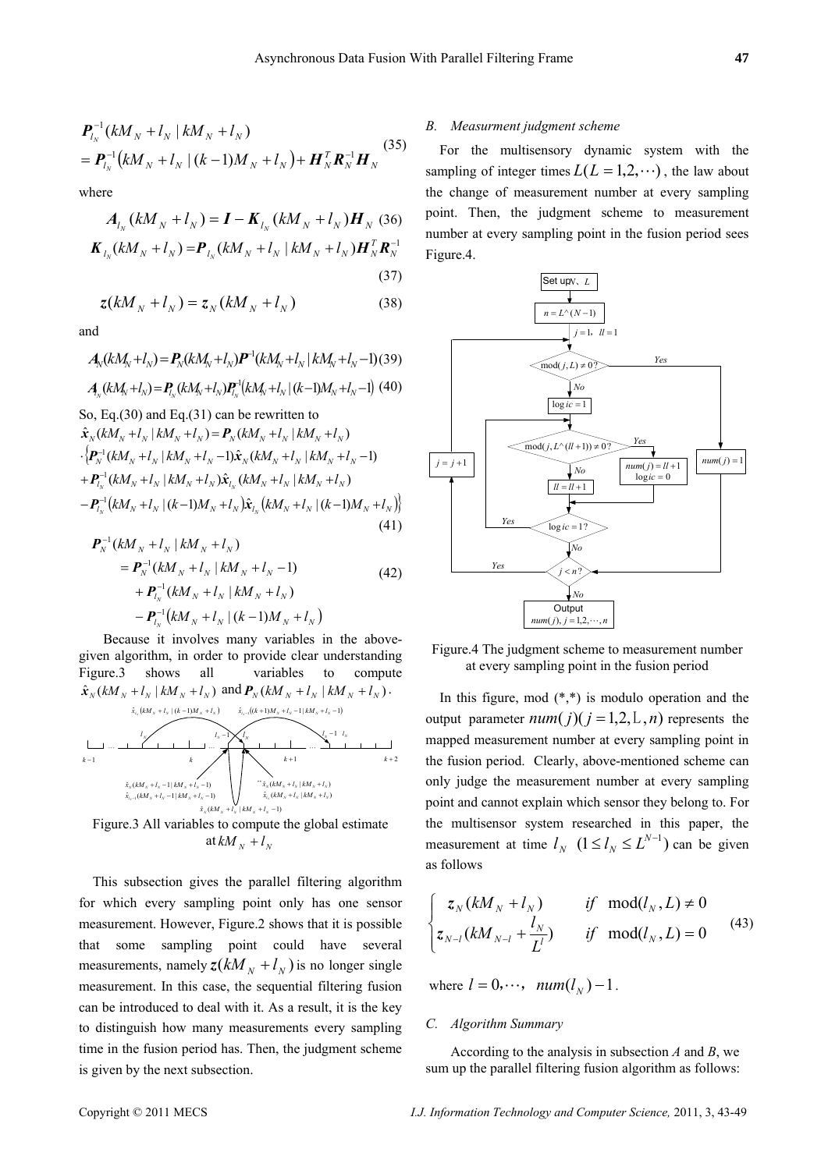$$
\begin{aligned} & \mathbf{P}_{l_N}^{-1} (kM_N + l_N \mid kM_N + l_N) \\ & = \mathbf{P}_{l_N}^{-1} (kM_N + l_N \mid (k-1)M_N + l_N) + \mathbf{H}_N^T \mathbf{R}_N^{-1} \mathbf{H}_N \end{aligned} \tag{35}
$$

where

$$
A_{l_N}(kM_N + l_N) = \mathbf{I} - \mathbf{K}_{l_N}(kM_N + l_N)\mathbf{H}_N
$$
 (36)  

$$
\mathbf{K}_{l_N}(kM_N + l_N) = \mathbf{P}_{l_N}(kM_N + l_N)kM_N + l_N\mathbf{H}_N^T\mathbf{R}_N^{-1}
$$
 (37)

$$
z(kM_N + l_N) = z_N(kM_N + l_N)
$$
\n(38)

and

$$
A_N(kM_N + l_N) = P_N(kM_N + l_N)P^{-1}(kM_N + l_N|kM_N + l_N - 1)(39)
$$
  

$$
A_N(kM_N + l_N) = P_{l_N}(kM_N + l_N)P_{l_N}^{-1}(kM_N + l_N|(k-1)M_N + l_N - 1)(40)
$$
  
So, Eq.(30) and Eq.(31) can be rewritten to

$$
\hat{\mathbf{x}}_{N}(kM_{N}+l_{N} | kM_{N}+l_{N}) = \mathbf{P}_{N}(kM_{N}+l_{N} | kM_{N}+l_{N})
$$
\n
$$
\cdot \left\{ \mathbf{P}_{N}^{-1}(kM_{N}+l_{N} | kM_{N}+l_{N}-1) \hat{\mathbf{x}}_{N}(kM_{N}+l_{N} | kM_{N}+l_{N}-1) + \mathbf{P}_{l_{N}}^{-1}(kM_{N}+l_{N} | kM_{N}+l_{N}) \hat{\mathbf{x}}_{l_{N}}(kM_{N}+l_{N} | kM_{N}+l_{N}) \right\}
$$
\n
$$
- \mathbf{P}_{l_{N}}^{-1}(kM_{N}+l_{N} | (k-1)M_{N}+l_{N}) \hat{\mathbf{x}}_{l_{N}}(kM_{N}+l_{N} | (k-1)M_{N}+l_{N}) \right\}
$$
\n(41)

$$
P_N^{-1}(kM_N + l_N | kM_N + l_N)
$$
  
=  $P_N^{-1}(kM_N + l_N | kM_N + l_N - 1)$   
+  $P_{l_N}^{-1}(kM_N + l_N | kM_N + l_N)$   
-  $P_{l_N}^{-1}(kM_N + l_N | (k-1)M_N + l_N)$  (42)

 Because it involves many variables in the abovegiven algorithm, in order to provide clear understanding Figure.3 shows all variables to compute  $\hat{\mathbf{x}}_{N} (kM_{N} + l_{N} | kM_{N} + l_{N})$  and  $\mathbf{P}_{N} (kM_{N} + l_{N} | kM_{N} + l_{N}).$  $\hat{x}$ ,  $((k+1)M_y + l_y - 1)$   $(kM_y + l_y - 1)$ 



Figure.3 All variables to compute the global estimate at  $kM_N + l_N$ 

 This subsection gives the parallel filtering algorithm for which every sampling point only has one sensor measurement. However, Figure.2 shows that it is possible that some sampling point could have several measurements, namely  $z(kM_{N} + l_{N})$  is no longer single measurement. In this case, the sequential filtering fusion can be introduced to deal with it. As a result, it is the key to distinguish how many measurements every sampling time in the fusion period has. Then, the judgment scheme is given by the next subsection.

## *B. Measurment judgment scheme*

For the multisensory dynamic system with the sampling of integer times  $L(L = 1,2,\dots)$ , the law about the change of measurement number at every sampling point. Then, the judgment scheme to measurement number at every sampling point in the fusion period sees Figure.4.



Figure.4 The judgment scheme to measurement number at every sampling point in the fusion period

In this figure, mod  $(*,*)$  is modulo operation and the output parameter  $num(j)(j = 1, 2, L, n)$  represents the mapped measurement number at every sampling point in the fusion period. Clearly, above-mentioned scheme can only judge the measurement number at every sampling point and cannot explain which sensor they belong to. For the multisensor system researched in this paper, the measurement at time  $l_N$  ( $1 \le l_N \le L^{N-1}$ ) can be given as follows

$$
\begin{cases}\n z_N(kM_N + l_N) & \text{if } \operatorname{mod}(l_N, L) \neq 0 \\
 z_{N-l}(kM_{N-l} + \frac{l_N}{L'}) & \text{if } \operatorname{mod}(l_N, L) = 0\n\end{cases}
$$
\n(43)

where  $l = 0, \dots, \text{ num}(l_N) - 1$ .

## *C. Algorithm Summary*

According to the analysis in subsection *A* and *B*, we sum up the parallel filtering fusion algorithm as follows: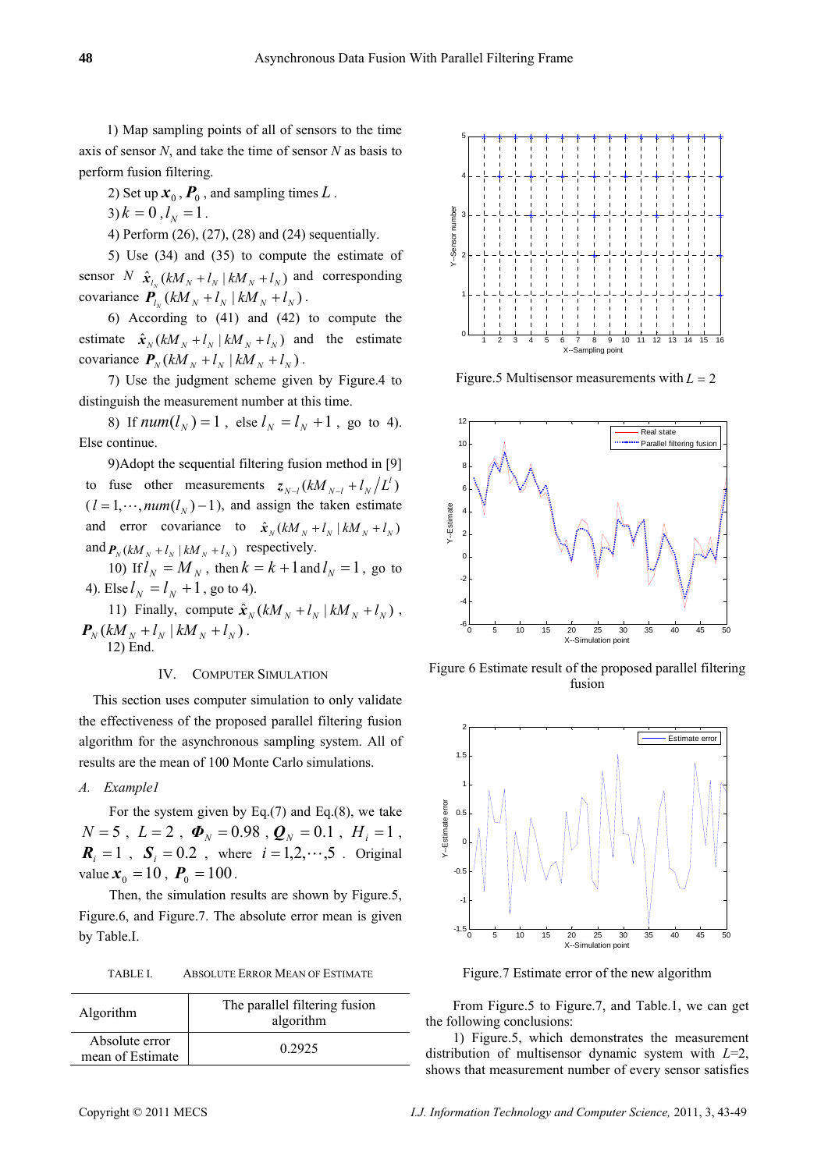1) Map sampling points of all of sensors to the time axis of sensor *N*, and take the time of sensor *N* as basis to perform fusion filtering.

2) Set up  $\mathbf{x}_0$ ,  $\mathbf{P}_0$ , and sampling times  $L$ .

 $3) k = 0, l_N = 1.$ 

4) Perform (26), (27), (28) and (24) sequentially.

5) Use (34) and (35) to compute the estimate of sensor *N*  $\hat{\mathbf{x}}_i$   $(kM_N + l_N | kM_N + l_N)$  and corresponding covariance  $P_{l_x} (kM_y + l_y) (kM_y + l_y)$ .

6) According to (41) and (42) to compute the estimate  $\hat{\mathbf{x}}_N (kM_N + l_N | kM_N + l_N)$  and the estimate covariance  $P_N (kM_N + l_N | kM_N + l_N)$ .

7) Use the judgment scheme given by Figure.4 to distinguish the measurement number at this time.

8) If  $num(l_N) = 1$ , else  $l_N = l_N + 1$ , go to 4). Else continue.

9)Adopt the sequential filtering fusion method in [9] to fuse other measurements  $z_{N-l} (kM_{N-l} + l_N/L^l)$  $(l = 1, \dots, num(l<sub>N</sub>) - 1)$ , and assign the taken estimate and error covariance to  $\hat{x}_N (kM_N + l_N) kM_N + l_N$ and  $P_N (kM_N + l_N | kM_N + l_N)$  respectively.

10) If  $l_N = M_N$ , then  $k = k + 1$  and  $l_N = 1$ , go to 4). Else  $l_N = l_N + 1$ , go to 4).

11) Finally, compute  $\hat{\mathbf{x}}_N (kM_N + l_N | kM_N + l_N)$ ,  $P_N ( kM_N + l_N | kM_N + l_N ).$ 12) End.

# IV. COMPUTER SIMULATION

This section uses computer simulation to only validate the effectiveness of the proposed parallel filtering fusion algorithm for the asynchronous sampling system. All of results are the mean of 100 Monte Carlo simulations.

# *A. Example1*

For the system given by Eq. $(7)$  and Eq. $(8)$ , we take  $N = 5$ ,  $L = 2$ ,  $\Phi_N = 0.98$ ,  $\mathbf{Q}_N = 0.1$ ,  $H_i = 1$ ,  $\mathbf{R}_i = 1$ ,  $\mathbf{S}_i = 0.2$ , where  $i = 1, 2, \dots, 5$ . Original value  $x_0 = 10$ ,  $P_0 = 100$ .

Then, the simulation results are shown by Figure.5, Figure.6, and Figure.7. The absolute error mean is given by Table.I.

TABLE I. ABSOLUTE ERROR MEAN OF ESTIMATE

| Algorithm                          | The parallel filtering fusion<br>algorithm |
|------------------------------------|--------------------------------------------|
| Absolute error<br>mean of Estimate | 0.2925                                     |



Figure.5 Multisensor measurements with  $L = 2$ 



Figure 6 Estimate result of the proposed parallel filtering fusion



Figure.7 Estimate error of the new algorithm

From Figure.5 to Figure.7, and Table.1, we can get the following conclusions:

1) Figure.5, which demonstrates the measurement distribution of multisensor dynamic system with *L*=2, shows that measurement number of every sensor satisfies